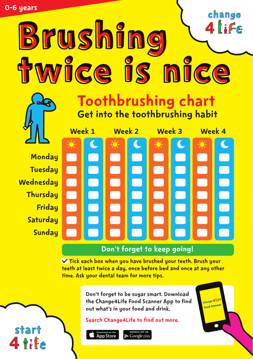# change  $4$  ife Brushing twice is nice





**Monday Tuesday Wednesday Thursday Friday Saturdau Sundau** 

start

4 8:Fe



#### Don't forget to keep going!

 $\vee$  Tick each box when you have brushed your teeth. Brush your teeth at least twice a day, once before bed and once at any other time. Ask your dental team for more tips.

> Don't forget to be sugar smart. Download the Change4Life Food Scanner App to find out what's in your food and drink.

Search Change4Life to find out more.